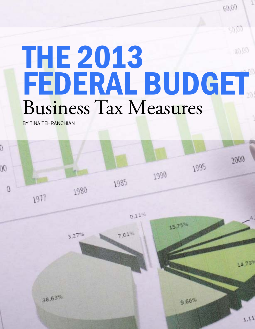# **THE 2013** 40.00 FEDERAL BUDGET Business Tax Measures

60,00

 $50.00$ 

2000

1995

BY TINA TEHRANCHIAN

 $\overline{0}$ 

 $\overline{\omega}$ 

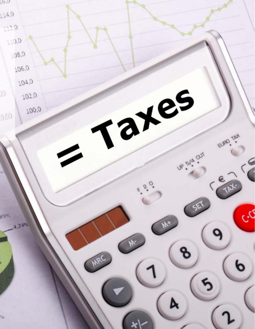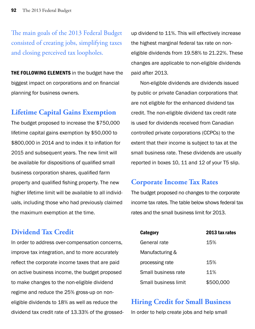The main goals of the 2013 Federal Budget consisted of creating jobs, simplifying taxes and closing perceived tax loopholes.

**THE FOLLOWING ELEMENTS** in the budget have the biggest impact on corporations and on financial planning for business owners.

# **Lifetime Capital Gains Exemption**

The budget proposed to increase the \$750,000 lifetime capital gains exemption by \$50,000 to \$800,000 in 2014 and to index it to inflation for 2015 and subsequent years. The new limit will be available for dispositions of qualified small business corporation shares, qualified farm property and qualified fishing property. The new higher lifetime limit will be available to all individuals, including those who had previously claimed the maximum exemption at the time.

# **Dividend Tax Credit**

In order to address over-compensation concerns, improve tax integration, and to more accurately reflect the corporate income taxes that are paid on active business income, the budget proposed to make changes to the non-eligible dividend regime and reduce the 25% gross-up on noneligible dividends to 18% as well as reduce the dividend tax credit rate of 13.33% of the grossedup dividend to 11%. This will effectively increase the highest marginal federal tax rate on noneligible dividends from 19.58% to 21.22%. These changes are applicable to non-eligible dividends paid after 2013.

Non-eligible dividends are dividends issued by public or private Canadian corporations that are not eligible for the enhanced dividend tax credit. The non-eligible dividend tax credit rate is used for dividends received from Canadian controlled private corporations (CCPCs) to the extent that their income is subject to tax at the small business rate. These dividends are usually reported in boxes 10, 11 and 12 of your T5 slip.

#### **Corporate Income Tax Rates**

The budget proposed no changes to the corporate income tax rates. The table below shows federal tax rates and the small business limit for 2013.

| <b>Category</b>      | 2013 tax rates |
|----------------------|----------------|
| General rate         | 15%            |
| Manufacturing &      |                |
| processing rate      | 15%            |
| Small business rate  | 11%            |
| Small business limit | \$500,000      |

#### **Hiring Credit for Small Business**

In order to help create jobs and help small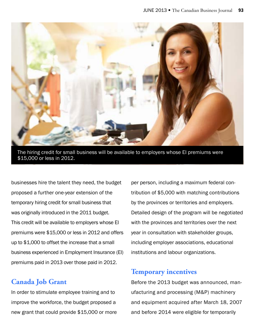

The hiring credit for small business will be available to employers whose EI premiums were \$15,000 or less in 2012.

businesses hire the talent they need, the budget proposed a further one-year extension of the temporary hiring credit for small business that was originally introduced in the 2011 budget. This credit will be available to employers whose EI premiums were \$15,000 or less in 2012 and offers up to \$1,000 to offset the increase that a small business experienced in Employment Insurance (EI) premiums paid in 2013 over those paid in 2012.

# **Canada Job Grant**

In order to stimulate employee training and to improve the workforce, the budget proposed a new grant that could provide \$15,000 or more per person, including a maximum federal contribution of \$5,000 with matching contributions by the provinces or territories and employers. Detailed design of the program will be negotiated with the provinces and territories over the next year in consultation with stakeholder groups, including employer associations, educational institutions and labour organizations.

# **Temporary incentives**

Before the 2013 budget was announced, manufacturing and processing (M&P) machinery and equipment acquired after March 18, 2007 and before 2014 were eligible for temporarily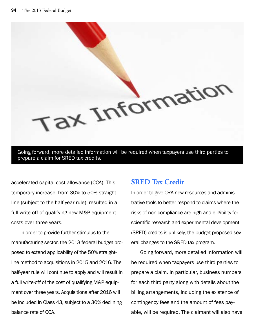

Going forward, more detailed information will be required when taxpayers use third parties to prepare a claim for SRED tax credits.

accelerated capital cost allowance (CCA). This temporary increase, from 30% to 50% straightline (subject to the half-year rule), resulted in a full write-off of qualifying new M&P equipment costs over three years.

In order to provide further stimulus to the manufacturing sector, the 2013 federal budget proposed to extend applicability of the 50% straightline method to acquisitions in 2015 and 2016. The half-year rule will continue to apply and will result in a full write-off of the cost of qualifying M&P equipment over three years. Acquisitions after 2016 will be included in Class 43, subject to a 30% declining balance rate of CCA.

# **SRED Tax Credit**

In order to give CRA new resources and administrative tools to better respond to claims where the risks of non-compliance are high and eligibility for scientific research and experimental development (SRED) credits is unlikely, the budget proposed several changes to the SRED tax program.

Going forward, more detailed information will be required when taxpayers use third parties to prepare a claim. In particular, business numbers for each third party along with details about the billing arrangements, including the existence of contingency fees and the amount of fees payable, will be required. The claimant will also have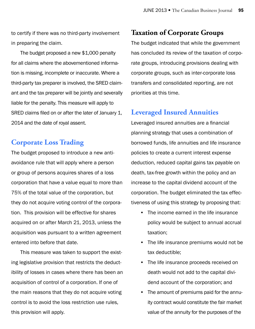to certify if there was no third-party involvement in preparing the claim.

The budget proposed a new \$1,000 penalty for all claims where the abovementioned information is missing, incomplete or inaccurate. Where a third-party tax preparer is involved, the SRED claimant and the tax preparer will be jointly and severally liable for the penalty. This measure will apply to SRED claims filed on or after the later of January 1, 2014 and the date of royal assent.

#### **Corporate Loss Trading**

The budget proposed to introduce a new antiavoidance rule that will apply where a person or group of persons acquires shares of a loss corporation that have a value equal to more than 75% of the total value of the corporation, but they do not acquire voting control of the corporation. This provision will be effective for shares acquired on or after March 21, 2013, unless the acquisition was pursuant to a written agreement entered into before that date.

This measure was taken to support the existing legislative provision that restricts the deductibility of losses in cases where there has been an acquisition of control of a corporation. If one of the main reasons that they do not acquire voting control is to avoid the loss restriction use rules, this provision will apply.

### **Taxation of Corporate Groups**

The budget indicated that while the government has concluded its review of the taxation of corporate groups, introducing provisions dealing with corporate groups, such as inter-corporate loss transfers and consolidated reporting, are not priorities at this time.

### **Leveraged Insured Annuities**

Leveraged insured annuities are a financial planning strategy that uses a combination of borrowed funds, life annuities and life insurance policies to create a current interest expense deduction, reduced capital gains tax payable on death, tax-free growth within the policy and an increase to the capital dividend account of the corporation. The budget eliminated the tax effectiveness of using this strategy by proposing that:

- The income earned in the life insurance policy would be subject to annual accrual taxation;
- The life insurance premiums would not be tax deductible;
- The life insurance proceeds received on death would not add to the capital dividend account of the corporation; and
- The amount of premiums paid for the annuity contract would constitute the fair market value of the annuity for the purposes of the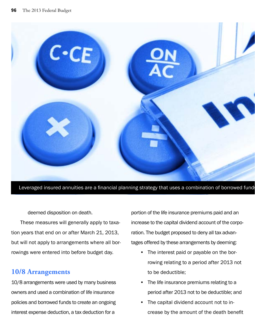

Leveraged insured annuities are a financial planning strategy that uses a combination of borrowed fund

deemed disposition on death.

These measures will generally apply to taxation years that end on or after March 21, 2013, but will not apply to arrangements where all borrowings were entered into before budget day.

#### **10/8 Arrangements**

10/8 arrangements were used by many business owners and used a combination of life insurance policies and borrowed funds to create an ongoing interest expense deduction, a tax deduction for a

portion of the life insurance premiums paid and an increase to the capital dividend account of the corporation. The budget proposed to deny all tax advantages offered by these arrangements by deeming:

- The interest paid or payable on the borrowing relating to a period after 2013 not to be deductible;
- The life insurance premiums relating to a period after 2013 not to be deductible; and
- The capital dividend account not to increase by the amount of the death benefit